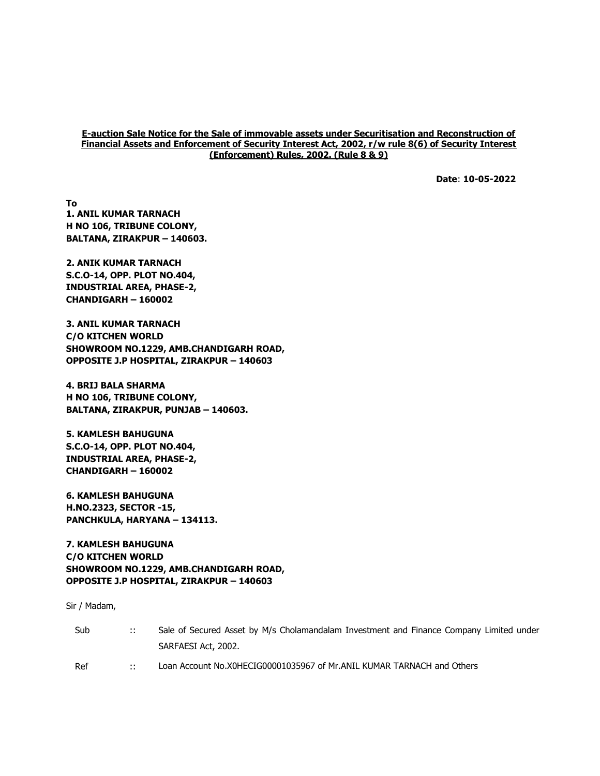#### E-auction Sale Notice for the Sale of immovable assets under Securitisation and Reconstruction of Financial Assets and Enforcement of Security Interest Act, 2002, r/w rule 8(6) of Security Interest (Enforcement) Rules, 2002. (Rule 8 & 9)

Date: 10-05-2022

To 1. ANIL KUMAR TARNACH H NO 106, TRIBUNE COLONY, BALTANA, ZIRAKPUR – 140603.

2. ANIK KUMAR TARNACH S.C.O-14, OPP. PLOT NO.404, INDUSTRIAL AREA, PHASE-2, CHANDIGARH – 160002

3. ANIL KUMAR TARNACH C/O KITCHEN WORLD SHOWROOM NO.1229, AMB.CHANDIGARH ROAD, OPPOSITE J.P HOSPITAL, ZIRAKPUR – 140603

4. BRIJ BALA SHARMA H NO 106, TRIBUNE COLONY, BALTANA, ZIRAKPUR, PUNJAB – 140603.

5. KAMLESH BAHUGUNA S.C.O-14, OPP. PLOT NO.404, INDUSTRIAL AREA, PHASE-2, CHANDIGARH – 160002

6. KAMLESH BAHUGUNA H.NO.2323, SECTOR -15, PANCHKULA, HARYANA – 134113.

7. KAMLESH BAHUGUNA C/O KITCHEN WORLD SHOWROOM NO.1229, AMB.CHANDIGARH ROAD, OPPOSITE J.P HOSPITAL, ZIRAKPUR – 140603

Sir / Madam,

| Sub | $\mathbb{R}^n$ | Sale of Secured Asset by M/s Cholamandalam Investment and Finance Company Limited under |
|-----|----------------|-----------------------------------------------------------------------------------------|
|     |                | SARFAESI Act, 2002.                                                                     |
| Ref | $\mathbb{R}^n$ | Loan Account No.X0HECIG00001035967 of Mr.ANIL KUMAR TARNACH and Others                  |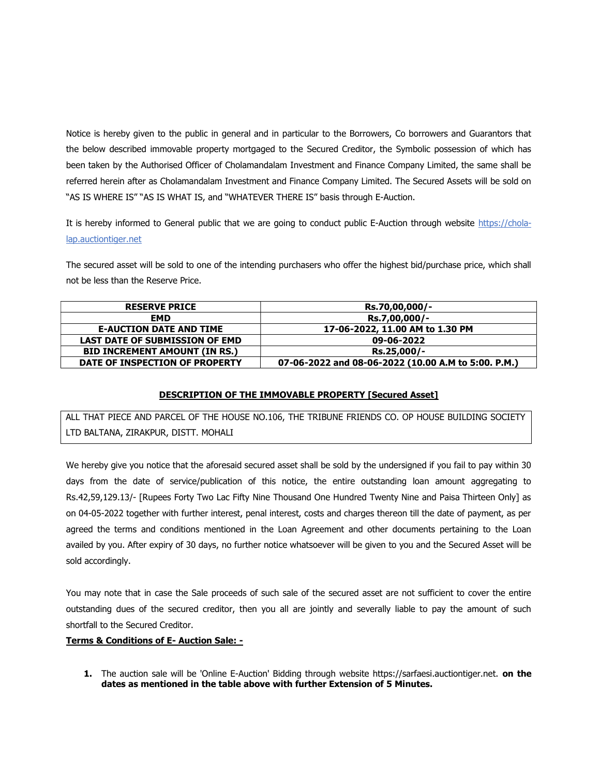Notice is hereby given to the public in general and in particular to the Borrowers, Co borrowers and Guarantors that the below described immovable property mortgaged to the Secured Creditor, the Symbolic possession of which has been taken by the Authorised Officer of Cholamandalam Investment and Finance Company Limited, the same shall be referred herein after as Cholamandalam Investment and Finance Company Limited. The Secured Assets will be sold on "AS IS WHERE IS" "AS IS WHAT IS, and "WHATEVER THERE IS" basis through E-Auction.

It is hereby informed to General public that we are going to conduct public E-Auction through website https://cholalap.auctiontiger.net

The secured asset will be sold to one of the intending purchasers who offer the highest bid/purchase price, which shall not be less than the Reserve Price.

| <b>RESERVE PRICE</b>                  | Rs.70,00,000/-                                      |
|---------------------------------------|-----------------------------------------------------|
| EMD.                                  | Rs.7,00,000/-                                       |
| <b>E-AUCTION DATE AND TIME</b>        | 17-06-2022, 11.00 AM to 1.30 PM                     |
| <b>LAST DATE OF SUBMISSION OF EMD</b> | 09-06-2022                                          |
| <b>BID INCREMENT AMOUNT (IN RS.)</b>  | Rs.25,000/-                                         |
| DATE OF INSPECTION OF PROPERTY        | 07-06-2022 and 08-06-2022 (10.00 A.M to 5:00. P.M.) |

# DESCRIPTION OF THE IMMOVABLE PROPERTY [Secured Asset]

ALL THAT PIECE AND PARCEL OF THE HOUSE NO.106, THE TRIBUNE FRIENDS CO. OP HOUSE BUILDING SOCIETY LTD BALTANA, ZIRAKPUR, DISTT. MOHALI

We hereby give you notice that the aforesaid secured asset shall be sold by the undersigned if you fail to pay within 30 days from the date of service/publication of this notice, the entire outstanding loan amount aggregating to Rs.42,59,129.13/- [Rupees Forty Two Lac Fifty Nine Thousand One Hundred Twenty Nine and Paisa Thirteen Only] as on 04-05-2022 together with further interest, penal interest, costs and charges thereon till the date of payment, as per agreed the terms and conditions mentioned in the Loan Agreement and other documents pertaining to the Loan availed by you. After expiry of 30 days, no further notice whatsoever will be given to you and the Secured Asset will be sold accordingly.

You may note that in case the Sale proceeds of such sale of the secured asset are not sufficient to cover the entire outstanding dues of the secured creditor, then you all are jointly and severally liable to pay the amount of such shortfall to the Secured Creditor.

# Terms & Conditions of E- Auction Sale: -

1. The auction sale will be 'Online E-Auction' Bidding through website https://sarfaesi.auctiontiger.net. on the dates as mentioned in the table above with further Extension of 5 Minutes.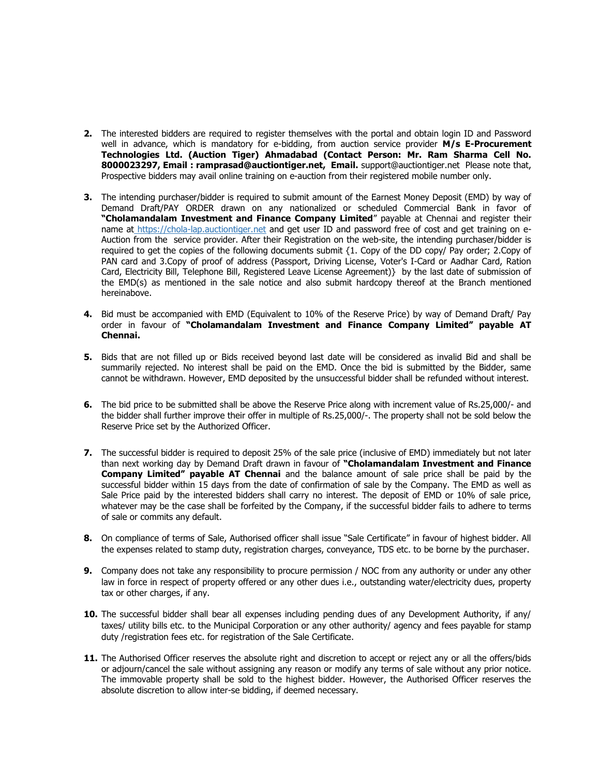- 2. The interested bidders are required to register themselves with the portal and obtain login ID and Password well in advance, which is mandatory for e-bidding, from auction service provider M/s E-Procurement Technologies Ltd. (Auction Tiger) Ahmadabad (Contact Person: Mr. Ram Sharma Cell No. 8000023297, Email : ramprasad@auctiontiger.net, Email. support@auctiontiger.net Please note that, Prospective bidders may avail online training on e-auction from their registered mobile number only.
- 3. The intending purchaser/bidder is required to submit amount of the Earnest Money Deposit (EMD) by way of Demand Draft/PAY ORDER drawn on any nationalized or scheduled Commercial Bank in favor of "Cholamandalam Investment and Finance Company Limited" payable at Chennai and register their name at https://chola-lap.auctiontiger.net and get user ID and password free of cost and get training on e-Auction from the service provider. After their Registration on the web-site, the intending purchaser/bidder is required to get the copies of the following documents submit {1. Copy of the DD copy/ Pay order; 2.Copy of PAN card and 3.Copy of proof of address (Passport, Driving License, Voter's I-Card or Aadhar Card, Ration Card, Electricity Bill, Telephone Bill, Registered Leave License Agreement)} by the last date of submission of the EMD(s) as mentioned in the sale notice and also submit hardcopy thereof at the Branch mentioned hereinabove.
- 4. Bid must be accompanied with EMD (Equivalent to 10% of the Reserve Price) by way of Demand Draft/ Pay order in favour of "Cholamandalam Investment and Finance Company Limited" payable AT Chennai.
- 5. Bids that are not filled up or Bids received beyond last date will be considered as invalid Bid and shall be summarily rejected. No interest shall be paid on the EMD. Once the bid is submitted by the Bidder, same cannot be withdrawn. However, EMD deposited by the unsuccessful bidder shall be refunded without interest.
- 6. The bid price to be submitted shall be above the Reserve Price along with increment value of Rs.25,000/- and the bidder shall further improve their offer in multiple of Rs.25,000/-. The property shall not be sold below the Reserve Price set by the Authorized Officer.
- 7. The successful bidder is required to deposit 25% of the sale price (inclusive of EMD) immediately but not later than next working day by Demand Draft drawn in favour of "Cholamandalam Investment and Finance Company Limited" payable AT Chennai and the balance amount of sale price shall be paid by the successful bidder within 15 days from the date of confirmation of sale by the Company. The EMD as well as Sale Price paid by the interested bidders shall carry no interest. The deposit of EMD or 10% of sale price, whatever may be the case shall be forfeited by the Company, if the successful bidder fails to adhere to terms of sale or commits any default.
- 8. On compliance of terms of Sale, Authorised officer shall issue "Sale Certificate" in favour of highest bidder. All the expenses related to stamp duty, registration charges, conveyance, TDS etc. to be borne by the purchaser.
- 9. Company does not take any responsibility to procure permission / NOC from any authority or under any other law in force in respect of property offered or any other dues i.e., outstanding water/electricity dues, property tax or other charges, if any.
- 10. The successful bidder shall bear all expenses including pending dues of any Development Authority, if any/ taxes/ utility bills etc. to the Municipal Corporation or any other authority/ agency and fees payable for stamp duty /registration fees etc. for registration of the Sale Certificate.
- 11. The Authorised Officer reserves the absolute right and discretion to accept or reject any or all the offers/bids or adjourn/cancel the sale without assigning any reason or modify any terms of sale without any prior notice. The immovable property shall be sold to the highest bidder. However, the Authorised Officer reserves the absolute discretion to allow inter-se bidding, if deemed necessary.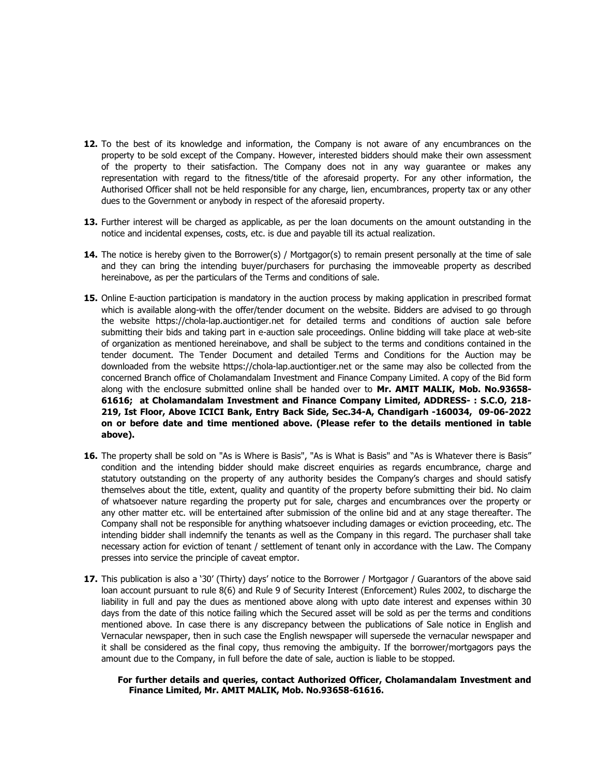- 12. To the best of its knowledge and information, the Company is not aware of any encumbrances on the property to be sold except of the Company. However, interested bidders should make their own assessment of the property to their satisfaction. The Company does not in any way guarantee or makes any representation with regard to the fitness/title of the aforesaid property. For any other information, the Authorised Officer shall not be held responsible for any charge, lien, encumbrances, property tax or any other dues to the Government or anybody in respect of the aforesaid property.
- 13. Further interest will be charged as applicable, as per the loan documents on the amount outstanding in the notice and incidental expenses, costs, etc. is due and payable till its actual realization.
- 14. The notice is hereby given to the Borrower(s) / Mortgagor(s) to remain present personally at the time of sale and they can bring the intending buyer/purchasers for purchasing the immoveable property as described hereinabove, as per the particulars of the Terms and conditions of sale.
- 15. Online E-auction participation is mandatory in the auction process by making application in prescribed format which is available along-with the offer/tender document on the website. Bidders are advised to go through the website https://chola-lap.auctiontiger.net for detailed terms and conditions of auction sale before submitting their bids and taking part in e-auction sale proceedings. Online bidding will take place at web-site of organization as mentioned hereinabove, and shall be subject to the terms and conditions contained in the tender document. The Tender Document and detailed Terms and Conditions for the Auction may be downloaded from the website https://chola-lap.auctiontiger.net or the same may also be collected from the concerned Branch office of Cholamandalam Investment and Finance Company Limited. A copy of the Bid form along with the enclosure submitted online shall be handed over to Mr. AMIT MALIK, Mob. No.93658-61616; at Cholamandalam Investment and Finance Company Limited, ADDRESS- : S.C.O, 218- 219, Ist Floor, Above ICICI Bank, Entry Back Side, Sec.34-A, Chandigarh -160034, 09-06-2022 on or before date and time mentioned above. (Please refer to the details mentioned in table above).
- 16. The property shall be sold on "As is Where is Basis", "As is What is Basis" and "As is Whatever there is Basis" condition and the intending bidder should make discreet enquiries as regards encumbrance, charge and statutory outstanding on the property of any authority besides the Company's charges and should satisfy themselves about the title, extent, quality and quantity of the property before submitting their bid. No claim of whatsoever nature regarding the property put for sale, charges and encumbrances over the property or any other matter etc. will be entertained after submission of the online bid and at any stage thereafter. The Company shall not be responsible for anything whatsoever including damages or eviction proceeding, etc. The intending bidder shall indemnify the tenants as well as the Company in this regard. The purchaser shall take necessary action for eviction of tenant / settlement of tenant only in accordance with the Law. The Company presses into service the principle of caveat emptor.
- 17. This publication is also a '30' (Thirty) days' notice to the Borrower / Mortgagor / Guarantors of the above said loan account pursuant to rule 8(6) and Rule 9 of Security Interest (Enforcement) Rules 2002, to discharge the liability in full and pay the dues as mentioned above along with upto date interest and expenses within 30 days from the date of this notice failing which the Secured asset will be sold as per the terms and conditions mentioned above. In case there is any discrepancy between the publications of Sale notice in English and Vernacular newspaper, then in such case the English newspaper will supersede the vernacular newspaper and it shall be considered as the final copy, thus removing the ambiguity. If the borrower/mortgagors pays the amount due to the Company, in full before the date of sale, auction is liable to be stopped.

### For further details and queries, contact Authorized Officer, Cholamandalam Investment and Finance Limited, Mr. AMIT MALIK, Mob. No.93658-61616.